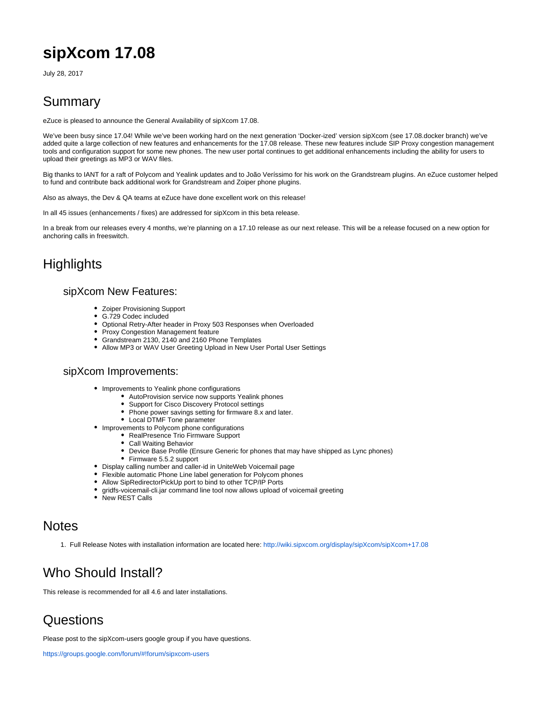# **sipXcom 17.08**

July 28, 2017

### Summary

eZuce is pleased to announce the General Availability of sipXcom 17.08.

We've been busy since 17.04! While we've been working hard on the next generation 'Docker-ized' version sipXcom (see 17.08.docker branch) we've added quite a large collection of new features and enhancements for the 17.08 release. These new features include SIP Proxy congestion management tools and configuration support for some new phones. The new user portal continues to get additional enhancements including the ability for users to upload their greetings as MP3 or WAV files.

Big thanks to IANT for a raft of Polycom and Yealink updates and to João Veríssimo for his work on the Grandstream plugins. An eZuce customer helped to fund and contribute back additional work for Grandstream and Zoiper phone plugins.

Also as always, the Dev & QA teams at eZuce have done excellent work on this release!

In all 45 issues (enhancements / fixes) are addressed for sipXcom in this beta release.

In a break from our releases every 4 months, we're planning on a 17.10 release as our next release. This will be a release focused on a new option for anchoring calls in freeswitch.

# **Highlights**

#### sipXcom New Features:

- $\bullet$ Zoiper Provisioning Support
- G.729 Codec included
- Optional Retry-After header in Proxy 503 Responses when Overloaded
- Proxy Congestion Management feature
- Grandstream 2130, 2140 and 2160 Phone Templates
- Allow MP3 or WAV User Greeting Upload in New User Portal User Settings

#### sipXcom Improvements:

- Improvements to Yealink phone configurations
	- AutoProvision service now supports Yealink phones
	- $\bullet$ Support for Cisco Discovery Protocol settings
	- Phone power savings setting for firmware 8.x and later.
	- Local DTMF Tone parameter
- Improvements to Polycom phone configurations
	- RealPresence Trio Firmware Support
	- Call Waiting Behavior
	- Device Base Profile (Ensure Generic for phones that may have shipped as Lync phones)
	- $\bullet$ Firmware 5.5.2 support
- Display calling number and caller-id in UniteWeb Voicemail page
- Flexible automatic Phone Line label generation for Polycom phones
- Allow SipRedirectorPickUp port to bind to other TCP/IP Ports
- gridfs-voicemail-cli.jar command line tool now allows upload of voicemail greeting
- New REST Calls

#### **Notes**

1. Full Release Notes with installation information are located here: <http://wiki.sipxcom.org/display/sipXcom/sipXcom+17.08>

# Who Should Install?

This release is recommended for all 4.6 and later installations.

# **Questions**

Please post to the sipXcom-users google group if you have questions.

<https://groups.google.com/forum/#!forum/sipxcom-users>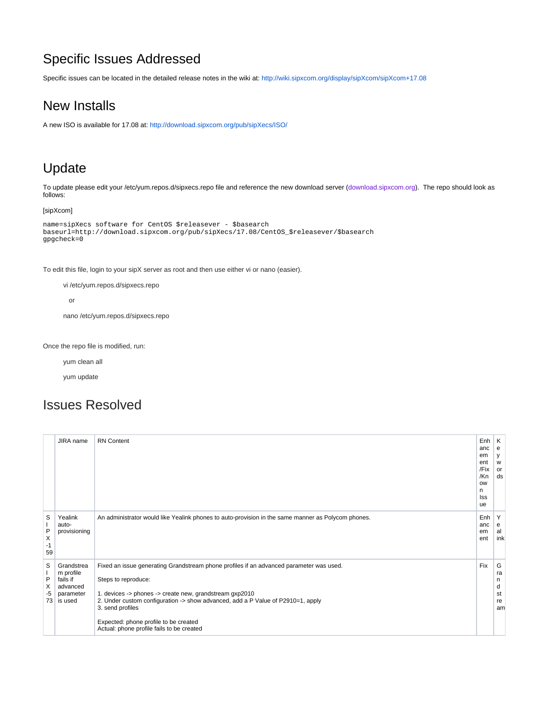# Specific Issues Addressed

Specific issues can be located in the detailed release notes in the wiki at: <http://wiki.sipxcom.org/display/sipXcom/sipXcom+17.08>

### New Installs

A new ISO is available for 17.08 at:<http://download.sipxcom.org/pub/sipXecs/ISO/>

#### Update

To update please edit your /etc/yum.repos.d/sipxecs.repo file and reference the new download server ([download.sipxcom.org](http://download.sipxcom.org/)). The repo should look as follows:

#### [sipXcom]

```
name=sipXecs software for CentOS $releasever - $basearch
baseurl=http://download.sipxcom.org/pub/sipXecs/17.08/CentOS_$releasever/$basearch
gpgcheck=0
```
To edit this file, login to your sipX server as root and then use either vi or nano (easier).

vi /etc/yum.repos.d/sipxecs.repo

or

nano /etc/yum.repos.d/sipxecs.repo

Once the repo file is modified, run:

yum clean all

yum update

#### Issues Resolved

|                                      | JIRA name                                                               | <b>RN</b> Content                                                                                                                                                                                                                                                                                                                                                      | $Enh$ $K$<br>anc<br>em<br>ent<br>/Fix<br>/Kn<br><b>OW</b><br>n<br>Iss<br>ue | е<br>У<br>W<br>or<br>ds             |
|--------------------------------------|-------------------------------------------------------------------------|------------------------------------------------------------------------------------------------------------------------------------------------------------------------------------------------------------------------------------------------------------------------------------------------------------------------------------------------------------------------|-----------------------------------------------------------------------------|-------------------------------------|
| S<br>-1<br>P<br>X<br>$-1$<br>59      | Yealink<br>auto-<br>provisioning                                        | An administrator would like Yealink phones to auto-provision in the same manner as Polycom phones.                                                                                                                                                                                                                                                                     | Enh<br>anc<br>em<br>ent                                                     | Y<br>е<br>al<br>ink                 |
| S<br>P<br>Х<br>-5<br>73 <sup>1</sup> | Grandstrea<br>m profile<br>fails if<br>advanced<br>parameter<br>is used | Fixed an issue generating Grandstream phone profiles if an advanced parameter was used.<br>Steps to reproduce:<br>1. devices -> phones -> create new, grandstream gxp2010<br>2. Under custom configuration -> show advanced, add a P Value of P2910=1, apply<br>3. send profiles<br>Expected: phone profile to be created<br>Actual: phone profile fails to be created | Fix                                                                         | G<br>ra<br>n<br>d<br>st<br>re<br>am |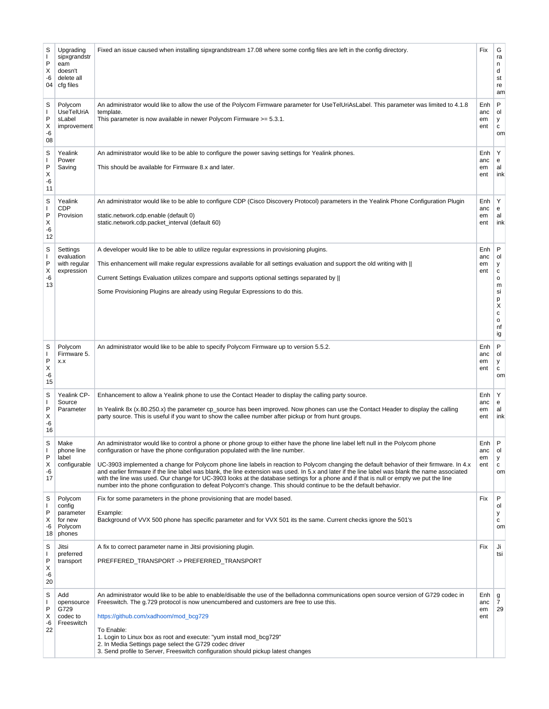| S<br>I.<br>P<br>Х<br>-6<br>04           | Upgrading<br>sipxgrandstr<br>eam<br>doesn't<br>delete all<br>cfg files | Fixed an issue caused when installing sipxgrandstream 17.08 where some config files are left in the config directory.                                                                                                                                                                                                                                                                                                                                                                                                                                                                                                                                                                                                                                                           | Fix                       | G<br>ra<br>n<br>d<br>st<br>re<br>am                                                             |
|-----------------------------------------|------------------------------------------------------------------------|---------------------------------------------------------------------------------------------------------------------------------------------------------------------------------------------------------------------------------------------------------------------------------------------------------------------------------------------------------------------------------------------------------------------------------------------------------------------------------------------------------------------------------------------------------------------------------------------------------------------------------------------------------------------------------------------------------------------------------------------------------------------------------|---------------------------|-------------------------------------------------------------------------------------------------|
| S<br>J.<br>P<br>Х<br>-6<br>08           | Polycom<br><b>UseTelUriA</b><br>sLabel<br>improvement                  | An administrator would like to allow the use of the Polycom Firmware parameter for UseTelUriAsLabel. This parameter was limited to 4.1.8<br>template.<br>This parameter is now available in newer Polycom Firmware >= 5.3.1.                                                                                                                                                                                                                                                                                                                                                                                                                                                                                                                                                    | Enh<br>anc<br>em<br>ent   | P<br>ol<br>у<br>с<br>om                                                                         |
| S<br>J.<br>P<br>Х<br>-6<br>11           | Yealink<br>Power<br>Saving                                             | An administrator would like to be able to configure the power saving settings for Yealink phones.<br>This should be available for Firmware 8.x and later.                                                                                                                                                                                                                                                                                                                                                                                                                                                                                                                                                                                                                       | Enh<br>anc<br>em<br>ent   | Y<br>e<br>al<br>ink                                                                             |
| S<br>I.<br>P<br>Х<br>-6<br>12           | Yealink<br><b>CDP</b><br>Provision                                     | An administrator would like to be able to configure CDP (Cisco Discovery Protocol) parameters in the Yealink Phone Configuration Plugin<br>static.network.cdp.enable (default 0)<br>static.network.cdp.packet_interval (default 60)                                                                                                                                                                                                                                                                                                                                                                                                                                                                                                                                             | Enh<br>anc<br>em<br>ent   | Y<br>e<br>al<br>ink                                                                             |
| S<br>I.<br>P<br>х<br>-6<br>13           | Settings<br>evaluation<br>with regular<br>expression                   | A developer would like to be able to utilize regular expressions in provisioning plugins.<br>This enhancement will make regular expressions available for all settings evaluation and support the old writing with   <br>Current Settings Evaluation utilizes compare and supports optional settings separated by   <br>Some Provisioning Plugins are already using Regular Expressions to do this.                                                                                                                                                                                                                                                                                                                                                                             | Enh<br>anc<br>em<br>ent   | P<br>ol<br>у<br>с<br>о<br>m<br>si<br>р<br>$\mathsf{\dot{X}}$<br>C<br>$\mathsf{o}\,$<br>nf<br>ig |
| S<br>P<br>х<br>-6<br>15                 | Polycom<br>Firmware 5.<br>X.X                                          | An administrator would like to be able to specify Polycom Firmware up to version 5.5.2.                                                                                                                                                                                                                                                                                                                                                                                                                                                                                                                                                                                                                                                                                         | Enh<br>anc<br>em<br>ent   | P<br>ol<br>у<br>с<br>om                                                                         |
| S<br>P<br>Х<br>-6<br>16                 | Yealink CP-<br>Source<br>Parameter                                     | Enhancement to allow a Yealink phone to use the Contact Header to display the calling party source.<br>In Yealink 8x (x.80.250.x) the parameter cp_source has been improved. Now phones can use the Contact Header to display the calling<br>party source. This is useful if you want to show the callee number after pickup or from hunt groups.                                                                                                                                                                                                                                                                                                                                                                                                                               | Enh<br>anc<br>em<br>ent   | Y<br>e<br>al<br>ink                                                                             |
| ς<br>$\mathbf{I}$<br>P<br>Х<br>-6<br>17 | Make<br>phone line<br>label<br>configurable                            | An administrator would like to control a phone or phone group to either have the phone line label left null in the Polycom phone<br>configuration or have the phone configuration populated with the line number.<br>UC-3903 implemented a change for Polycom phone line labels in reaction to Polycom changing the default behavior of their firmware. In 4.x<br>and earlier firmware if the line label was blank, the line extension was used. In 5.x and later if the line label was blank the name associated<br>with the line was used. Our change for UC-3903 looks at the database settings for a phone and if that is null or empty we put the line<br>number into the phone configuration to defeat Polycom's change. This should continue to be the default behavior. | Enh<br>anc<br>em<br>ent   | P<br>ol<br>у<br>C<br>om                                                                         |
| S<br>T<br>P<br>Х<br>-6<br>18            | Polycom<br>config<br>parameter<br>for new<br>Polycom<br>phones         | Fix for some parameters in the phone provisioning that are model based.<br>Example:<br>Background of VVX 500 phone has specific parameter and for VVX 501 its the same. Current checks ignore the 501's                                                                                                                                                                                                                                                                                                                                                                                                                                                                                                                                                                         | Fix                       | P<br>ol<br>у<br>с<br>om                                                                         |
| S<br>T<br>P<br>Х<br>-6<br>20            | Jitsi<br>preferred<br>transport                                        | A fix to correct parameter name in Jitsi provisioning plugin.<br>PREFFERED_TRANSPORT -> PREFERRED_TRANSPORT                                                                                                                                                                                                                                                                                                                                                                                                                                                                                                                                                                                                                                                                     | Fix                       | Ji<br>tsi                                                                                       |
| S<br>J.<br>P<br>Х<br>-6<br>22           | Add<br>opensource<br>G729<br>codec to<br>Freeswitch                    | An administrator would like to be able to enable/disable the use of the belladonna communications open source version of G729 codec in<br>Freeswitch. The g.729 protocol is now unencumbered and customers are free to use this.<br>https://github.com/xadhoom/mod_bcg729<br>To Enable:<br>1. Login to Linux box as root and execute: "yum install mod_bcg729"<br>2. In Media Settings page select the G729 codec driver<br>3. Send profile to Server, Freeswitch configuration should pickup latest changes                                                                                                                                                                                                                                                                    | Enh  <br>anc<br>em<br>ent | g<br>7<br>29                                                                                    |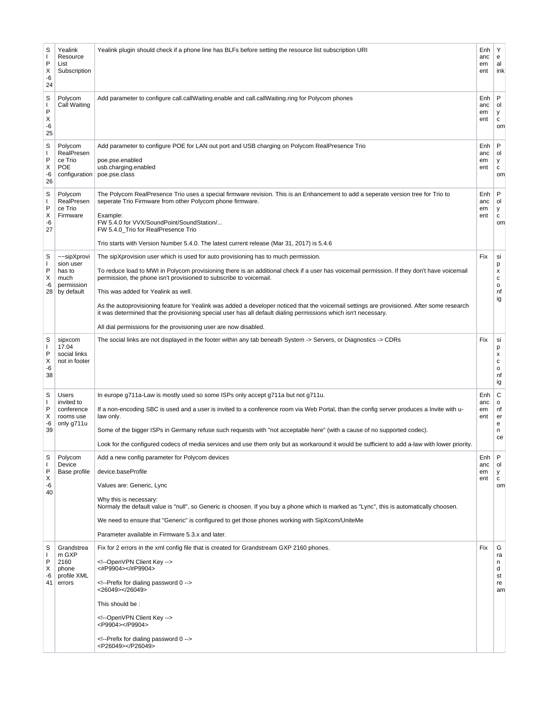| S<br>J.<br>P<br>Х<br>-6<br>24 | Yealink<br>Resource<br>List<br>Subscription                            | Yealink plugin should check if a phone line has BLFs before setting the resource list subscription URI                                                                                                                                                                                                                                                                                                                                                                                                                                                                                                                                                                              | Enh<br>anc<br>em<br>ent | Υ<br>е<br>al<br>ink                 |
|-------------------------------|------------------------------------------------------------------------|-------------------------------------------------------------------------------------------------------------------------------------------------------------------------------------------------------------------------------------------------------------------------------------------------------------------------------------------------------------------------------------------------------------------------------------------------------------------------------------------------------------------------------------------------------------------------------------------------------------------------------------------------------------------------------------|-------------------------|-------------------------------------|
| S<br>J.<br>P<br>Х<br>-6<br>25 | Polycom<br>Call Waiting                                                | Add parameter to configure call.callWaiting.enable and call.callWaiting.ring for Polycom phones                                                                                                                                                                                                                                                                                                                                                                                                                                                                                                                                                                                     | Enh<br>anc<br>em<br>ent | P<br>ol<br>У<br>с<br>om             |
| S<br>I.<br>P<br>X<br>-6<br>26 | Polycom<br>RealPresen<br>ce Trio<br><b>POE</b><br>configuration        | Add parameter to configure POE for LAN out port and USB charging on Polycom RealPresence Trio<br>poe.pse.enabled<br>usb.charging.enabled<br>poe.pse.class                                                                                                                                                                                                                                                                                                                                                                                                                                                                                                                           | Enh<br>anc<br>em<br>ent | P<br>ol<br>У<br>с<br>om             |
| S<br>I.<br>P<br>х<br>-6<br>27 | Polycom<br>RealPresen<br>ce Trio<br>Firmware                           | The Polycom RealPresence Trio uses a special firmware revision. This is an Enhancement to add a seperate version tree for Trio to<br>seperate Trio Firmware from other Polycom phone firmware.<br>Example:<br>FW 5.4.0 for VVX/SoundPoint/SoundStation/<br>FW 5.4.0 Trio for RealPresence Trio<br>Trio starts with Version Number 5.4.0. The latest current release (Mar 31, 2017) is 5.4.6                                                                                                                                                                                                                                                                                         | Enh<br>anc<br>em<br>ent | P<br>ol<br>У<br>с<br>om             |
| S<br>J.<br>P<br>X<br>-6<br>28 | ~~sipXprovi<br>sion user<br>has to<br>much<br>permission<br>by default | The sipXprovision user which is used for auto provisioning has to much permission.<br>To reduce load to MWI in Polycom provisioning there is an additional check if a user has voicemail permission. If they don't have voicemail<br>permission, the phone isn't provisioned to subscribe to voicemail.<br>This was added for Yealink as well.<br>As the autoprovisioning feature for Yealink was added a developer noticed that the voicemail settings are provisioned. After some research<br>it was determined that the provisioning special user has all default dialing permissions which isn't necessary.<br>All dial permissions for the provisioning user are now disabled. | Fix                     | si<br>p<br>x<br>с<br>o<br>nf<br>ig  |
| S<br>J.<br>P<br>х<br>-6<br>38 | sipxcom<br>17.04<br>social links<br>not in footer                      | The social links are not displayed in the footer within any tab beneath System -> Servers, or Diagnostics -> CDRs                                                                                                                                                                                                                                                                                                                                                                                                                                                                                                                                                                   | Fix                     | si<br>p<br>x<br>с<br>o<br>nf<br>ig  |
| S<br>I.<br>P<br>Х<br>-6<br>39 | <b>Users</b><br>invited to<br>conference<br>rooms use<br>only g711u    | In europe g711a-Law is mostly used so some ISPs only accept g711a but not g711u.<br>If a non-encoding SBC is used and a user is invited to a conference room via Web Portal, than the config server produces a Invite with u-<br>law only.<br>Some of the bigger ISPs in Germany refuse such requests with "not acceptable here" (with a cause of no supported codec).<br>Look for the configured codecs of media services and use them only but as workaround it would be sufficient to add a-law with lower priority                                                                                                                                                              | Enh<br>anc<br>em<br>ent | С<br>о<br>nf<br>er<br>e<br>n<br>ce  |
| S<br>I.<br>P<br>х<br>-6<br>40 | Polycom<br>Device<br>Base profile                                      | Add a new config parameter for Polycom devices<br>device.baseProfile<br>Values are: Generic, Lync<br>Why this is necessary:<br>Normaly the default value is "null", so Generic is choosen. If you buy a phone which is marked as "Lync", this is automatically choosen.<br>We need to ensure that "Generic" is configured to get those phones working with SipXcom/UniteMe<br>Parameter available in Firmware 5.3.x and later.                                                                                                                                                                                                                                                      | Enh<br>anc<br>em<br>ent | P<br>ol<br>У<br>с<br>om             |
| S<br>J.<br>P<br>Х<br>-6<br>41 | Grandstrea<br>m GXP<br>2160<br>phone<br>profile XML<br>errors          | Fix for 2 errors in the xml config file that is created for Grandstream GXP 2160 phones.<br>OpenVPN Client Key<br><#P9904> #P9904<br>Prefix for dialing password 0<br><26049> 26049<br>This should be:<br>OpenVPN Client Key<br><p9904></p9904><br>Prefix for dialing password 0<br><p26049></p26049>                                                                                                                                                                                                                                                                                                                                                                               | Fix                     | G<br>ra<br>n<br>d<br>st<br>re<br>am |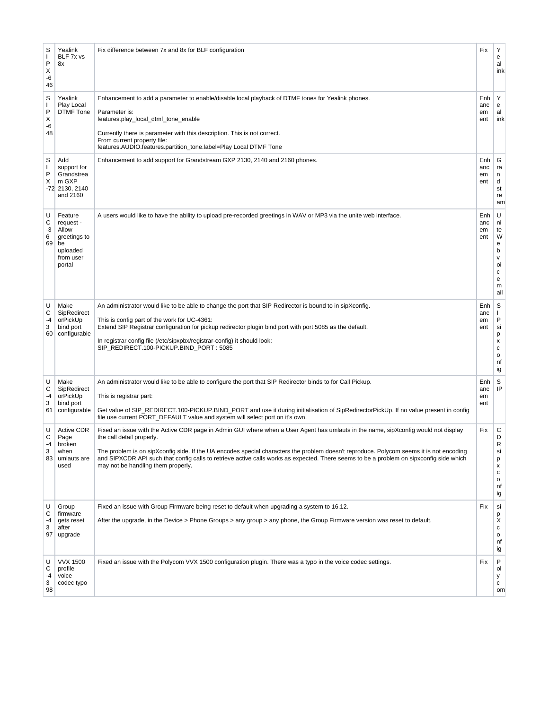| S<br>$\mathbf{I}$<br>P<br>Χ<br>-6<br>46 | Yealink<br>BLF 7x vs<br>8x                                                             | Fix difference between 7x and 8x for BLF configuration                                                                                                                                                                                                                                                                                                                                                                                                                                      | Fix                     | Υ<br>e<br>al<br>ink                                                                        |
|-----------------------------------------|----------------------------------------------------------------------------------------|---------------------------------------------------------------------------------------------------------------------------------------------------------------------------------------------------------------------------------------------------------------------------------------------------------------------------------------------------------------------------------------------------------------------------------------------------------------------------------------------|-------------------------|--------------------------------------------------------------------------------------------|
| S<br>$\mathbf{I}$<br>P<br>X<br>-6<br>48 | Yealink<br>Play Local<br>DTMF Tone                                                     | Enhancement to add a parameter to enable/disable local playback of DTMF tones for Yealink phones.<br>Parameter is:<br>features.play_local_dtmf_tone_enable<br>Currently there is parameter with this description. This is not correct.<br>From current property file:<br>features.AUDIO.features.partition_tone.label=Play Local DTMF Tone                                                                                                                                                  | Enh<br>anc<br>em<br>ent | Y<br>e<br>al<br>ink                                                                        |
| S<br>I.<br>P<br>Х                       | Add<br>support for<br>Grandstrea<br>m GXP<br>-72 2130, 2140<br>and 2160                | Enhancement to add support for Grandstream GXP 2130, 2140 and 2160 phones.                                                                                                                                                                                                                                                                                                                                                                                                                  | Enh<br>anc<br>em<br>ent | G<br>ra<br>n<br>d<br>st<br>re<br>am                                                        |
| U<br>С<br>-3<br>6<br>69                 | Feature<br>request -<br>Allow<br>greetings to<br>be<br>uploaded<br>from user<br>portal | A users would like to have the ability to upload pre-recorded greetings in WAV or MP3 via the unite web interface.                                                                                                                                                                                                                                                                                                                                                                          | Enh<br>anc<br>em<br>ent | U<br>ni<br>te<br>W<br>e<br>b<br>$\mathsf{v}$<br>oi<br>$\mathbf c$<br>${\bf e}$<br>m<br>ail |
| U<br>С<br>-4<br>3<br>60                 | Make<br>SipRedirect<br>orPickUp<br>bind port<br>configurable                           | An administrator would like to be able to change the port that SIP Redirector is bound to in sipXconfig.<br>This is config part of the work for UC-4361:<br>Extend SIP Registrar configuration for pickup redirector plugin bind port with port 5085 as the default.<br>In registrar config file (/etc/sipxpbx/registrar-config) it should look:<br>SIP_REDIRECT.100-PICKUP.BIND_PORT: 5085                                                                                                 | Enh<br>anc<br>em<br>ent | S<br>Ι.<br>P<br>si<br>р<br>x<br>$\mathbf c$<br>$\mathsf{o}\,$<br>nf<br>ig                  |
| U<br>С<br>-4<br>3<br>61                 | Make<br>SipRedirect<br>orPickUp<br>bind port<br>configurable                           | An administrator would like to be able to configure the port that SIP Redirector binds to for Call Pickup.<br>This is registrar part:<br>Get value of SIP_REDIRECT.100-PICKUP.BIND_PORT and use it during initialisation of SipRedirectorPickUp. If no value present in config<br>file use current PORT_DEFAULT value and system will select port on it's own.                                                                                                                              | Enh<br>anc<br>em<br>ent | S<br>IP                                                                                    |
| U<br>С<br>-4<br>3<br>83                 | <b>Active CDR</b><br>Page<br>broken<br>when<br>umlauts are<br>used                     | Fixed an issue with the Active CDR page in Admin GUI where when a User Agent has umlauts in the name, sipXconfig would not display<br>the call detail properly.<br>The problem is on sipXconfig side. If the UA encodes special characters the problem doesn't reproduce. Polycom seems it is not encoding<br>and SIPXCDR API such that config calls to retrieve active calls works as expected. There seems to be a problem on sipxconfig side which<br>may not be handling them properly. | Fix                     | С<br>D<br>R<br>si<br>p<br>X<br>с<br>o<br>nf<br>ig                                          |
| U<br>С<br>-4<br>3<br>97                 | Group<br>firmware<br>gets reset<br>after<br>upgrade                                    | Fixed an issue with Group Firmware being reset to default when upgrading a system to 16.12.<br>After the upgrade, in the Device > Phone Groups > any group > any phone, the Group Firmware version was reset to default.                                                                                                                                                                                                                                                                    | Fix                     | si<br>p<br>X<br>с<br>o<br>nf<br>ig                                                         |
| U<br>С<br>-4<br>3<br>98                 | <b>VVX 1500</b><br>profile<br>voice<br>codec typo                                      | Fixed an issue with the Polycom VVX 1500 configuration plugin. There was a typo in the voice codec settings.                                                                                                                                                                                                                                                                                                                                                                                | Fix                     | P<br>ol<br>у<br>с<br>om                                                                    |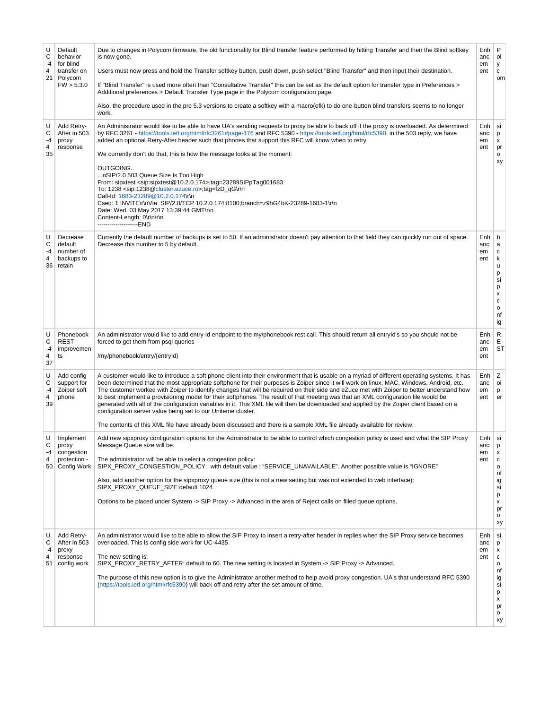| U<br>С<br>-4<br>4<br>21<br>U | Default<br>behavior<br>for blind<br>transfer on<br>Polycom<br>FW > 5.3.0 | Due to changes in Polycom firmware, the old functionality for Blind transfer feature performed by hitting Transfer and then the Blind softkey<br>is now gone.<br>Users must now press and hold the Transfer softkey button, push down, push select "Blind Transfer" and then input their destination.<br>If "Blind Transfer" is used more often than "Consultative Transfer" this can be set as the default option for transfer type in Preferences ><br>Additional preferences > Default Transfer Type page in the Polycom configuration page.<br>Also, the procedure used in the pre 5.3 versions to create a softkey with a macro(efk) to do one-button blind transfers seems to no longer<br>work.                                                                                                                                                                                                                                              | Enh<br>anc<br>em<br>ent<br>Enh | P<br>ol<br>У<br>$\mathtt{C}$<br>om                                                     |
|------------------------------|--------------------------------------------------------------------------|-----------------------------------------------------------------------------------------------------------------------------------------------------------------------------------------------------------------------------------------------------------------------------------------------------------------------------------------------------------------------------------------------------------------------------------------------------------------------------------------------------------------------------------------------------------------------------------------------------------------------------------------------------------------------------------------------------------------------------------------------------------------------------------------------------------------------------------------------------------------------------------------------------------------------------------------------------|--------------------------------|----------------------------------------------------------------------------------------|
| C<br>-4<br>4<br>35           | Add Retry-<br>After in 503<br>proxy<br>response                          | An Administrator would like to be able to have UA's sending requests to proxy be able to back off if the proxy is overloaded. As determined<br>by RFC 3261 - https://tools.ietf.org/html/rfc3261#page-176 and RFC 5390 - https://tools.ietf.org/html/rfc5390, in the 503 reply, we have<br>added an optional Retry-After header such that phones that support this RFC will know when to retry.<br>We currently don't do that, this is how the message looks at the moment:<br>OUTGOING<br>nSIP/2.0 503 Queue Size Is Too High<br>From: sipxtest <sip:sipxtest@10.2.0.174>;tag=23289SIPpTag001683<br/>To: 1238 <sip:1238@cluster.ezuce.ro>;tag=fzD_qG\r\n<br/>Call-Id: 1683-23289@10.2.0.174\r\n<br/>Cseq: 1 INVITE\r\nVia: SIP/2.0/TCP 10.2.0.174:8100;branch=z9hG4bK-23289-1683-1\r\n<br/>Date: Wed, 03 May 2017 13:39:44 GMT\r\n<br/>Content-Length: 0\r\n\r\n<br/>--------------------END</sip:1238@cluster.ezuce.ro></sip:sipxtest@10.2.0.174> | anc<br>em<br>ent               | si<br>p<br>X<br>pr<br>o<br>xy                                                          |
| U<br>С<br>-4<br>4<br>36      | Decrease<br>default<br>number of<br>backups to<br>retain                 | Currently the default number of backups is set to 50. If an administrator doesn't pay attention to that field they can quickly run out of space.<br>Decrease this number to 5 by default.                                                                                                                                                                                                                                                                                                                                                                                                                                                                                                                                                                                                                                                                                                                                                           | Enh<br>anc<br>em<br>ent        | b<br>a<br>c<br>k<br>u<br>p<br>si<br>p<br>x<br>$\mathbf c$<br>$\mathsf{o}$<br>nf<br>ig  |
| U<br>С<br>-4<br>4<br>37      | Phonebook<br><b>REST</b><br>improvemen<br>ts                             | An administrator would like to add entry-id endpoint to the my/phonebook rest call. This should return all entryld's so you should not be<br>forced to get them from psql queries<br>/my/phonebook/entry/{entryId}                                                                                                                                                                                                                                                                                                                                                                                                                                                                                                                                                                                                                                                                                                                                  | Enh<br>anc<br>em<br>ent        | R<br>E<br><b>ST</b>                                                                    |
| U<br>С<br>-4<br>4<br>39      | Add config<br>support for<br>Zoiper soft<br>phone                        | A customer would like to introduce a soft phone client into their environment that is usable on a myriad of different operating systems. It has<br>been determined that the most appropriate softphone for their purposes is Zoiper since it will work on linux, MAC, Windows, Android, etc.<br>The customer worked with Zoiper to identify changes that will be required on their side and eZuce met with Zoiper to better understand how<br>to best implement a provisioning model for their softphones. The result of that meeting was that an XML configuration file would be<br>generated with all of the configuration variables in it. This XML file will then be downloaded and applied by the Zoiper client based on a<br>configuration server value being set to our Uniteme cluster.<br>The contents of this XML file have already been discussed and there is a sample XML file already available for review.                           | Enh  <br>anc<br>em<br>ent      | Ζ<br>oi<br>p<br>er                                                                     |
| U<br>С<br>-4<br>4            | Implement<br>proxy<br>congestion<br>protection -<br>50 Config Work       | Add new sipxproxy configuration options for the Administrator to be able to control which congestion policy is used and what the SIP Proxy<br>Message Queue size will be.<br>The administrator will be able to select a congestion policy:<br>SIPX_PROXY_CONGESTION_POLICY : with default value : "SERVICE_UNAVAILABLE". Another possible value is "IGNORE"<br>Also, add another option for the sipxproxy queue size (this is not a new setting but was not extended to web interface):<br>SIPX_PROXY_QUEUE_SIZE:default 1024<br>Options to be placed under System -> SIP Proxy -> Advanced in the area of Reject calls on filled queue options.                                                                                                                                                                                                                                                                                                    | Enh<br>anc<br>em<br>ent        | si<br>p<br>х<br>c<br>$\mathsf{o}\,$<br>nf<br>ig<br>si<br>p<br>x<br>pr<br>0<br>xy       |
| U<br>C<br>-4<br>4<br>51      | Add Retry-<br>After in 503<br>proxy<br>response -<br>config work         | An administrator would like to be able to allow the SIP Proxy to insert a retry-after header in replies when the SIP Proxy service becomes<br>overloaded. This is config side work for UC-4435.<br>The new setting is:<br>SIPX_PROXY_RETRY_AFTER: default to 60. The new setting is located in System -> SIP Proxy -> Advanced.<br>The purpose of this new option is to give the Administrator another method to help avoid proxy congestion. UA's that understand RFC 5390<br>(https://tools.ietf.org/html/rfc5390) will back off and retry after the set amount of time.                                                                                                                                                                                                                                                                                                                                                                          | Enh<br>anc<br>em<br>ent        | si<br>p<br>х<br>с<br>$\circ$<br>nf<br>ig<br>si<br>р<br>x<br>pr<br>$\mathsf{o}\,$<br>хy |